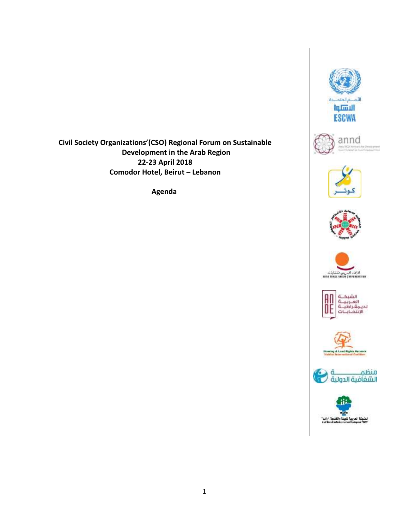

annd te Designari













**Civil Society Organizations'(CSO) Regional Forum on Sustainable Development in the Arab Region 22-23 April 2018 Comodor Hotel, Beirut – Lebanon**

**Agenda**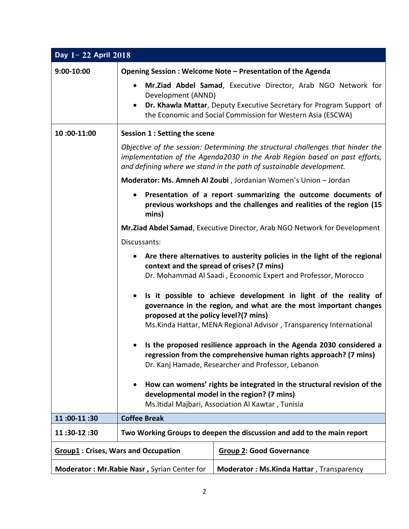| Day 1-22 April 2018                          |                                                                                                                                                                                                                                                                    |                                                                                                                                                                                                      |  |  |
|----------------------------------------------|--------------------------------------------------------------------------------------------------------------------------------------------------------------------------------------------------------------------------------------------------------------------|------------------------------------------------------------------------------------------------------------------------------------------------------------------------------------------------------|--|--|
| 9:00-10:00                                   | Opening Session: Welcome Note - Presentation of the Agenda                                                                                                                                                                                                         |                                                                                                                                                                                                      |  |  |
|                                              | $\bullet$<br>Development (ANND)<br>$\bullet$                                                                                                                                                                                                                       | Mr.Ziad Abdel Samad, Executive Director, Arab NGO Network for<br>Dr. Khawla Mattar, Deputy Executive Secretary for Program Support of<br>the Economic and Social Commission for Western Asia (ESCWA) |  |  |
| 10:00-11:00                                  | Session 1 : Setting the scene                                                                                                                                                                                                                                      |                                                                                                                                                                                                      |  |  |
|                                              | Objective of the session: Determining the structural challenges that hinder the<br>implementation of the Agenda2030 in the Arab Region based on past efforts,<br>and defining where we stand in the path of sustainable development.                               |                                                                                                                                                                                                      |  |  |
|                                              | Moderator: Ms. Amneh Al Zoubi, Jordanian Women's Union - Jordan                                                                                                                                                                                                    |                                                                                                                                                                                                      |  |  |
|                                              | Presentation of a report summarizing the outcome documents of<br>$\bullet$<br>previous workshops and the challenges and realities of the region (15<br>mins)                                                                                                       |                                                                                                                                                                                                      |  |  |
|                                              | Mr.Ziad Abdel Samad, Executive Director, Arab NGO Network for Development                                                                                                                                                                                          |                                                                                                                                                                                                      |  |  |
|                                              | Discussants:                                                                                                                                                                                                                                                       |                                                                                                                                                                                                      |  |  |
|                                              | Are there alternatives to austerity policies in the light of the regional<br>٠<br>context and the spread of crises? (7 mins)<br>Dr. Mohammad Al Saadi, Economic Expert and Professor, Morocco                                                                      |                                                                                                                                                                                                      |  |  |
|                                              | Is it possible to achieve development in light of the reality of<br>$\bullet$<br>governance in the region, and what are the most important changes<br>proposed at the policy level?(7 mins)<br>Ms. Kinda Hattar, MENA Regional Advisor, Transparency International |                                                                                                                                                                                                      |  |  |
|                                              | Is the proposed resilience approach in the Agenda 2030 considered a<br>regression from the comprehensive human rights approach? (7 mins)<br>Dr. Kanj Hamade, Researcher and Professor, Lebanon                                                                     |                                                                                                                                                                                                      |  |  |
|                                              | How can womens' rights be integrated in the structural revision of the<br>developmental model in the region? (7 mins)<br>Ms. Itidal Majbari, Association Al Kawtar, Tunisia                                                                                        |                                                                                                                                                                                                      |  |  |
| 11:00-11:30                                  | <b>Coffee Break</b>                                                                                                                                                                                                                                                |                                                                                                                                                                                                      |  |  |
| 11:30-12:30                                  | Two Working Groups to deepen the discussion and add to the main report                                                                                                                                                                                             |                                                                                                                                                                                                      |  |  |
| <b>Group1: Crises, Wars and Occupation</b>   |                                                                                                                                                                                                                                                                    | <b>Group 2: Good Governance</b>                                                                                                                                                                      |  |  |
| Moderator: Mr. Rabie Nasr, Syrian Center for |                                                                                                                                                                                                                                                                    | <b>Moderator: Ms.Kinda Hattar, Transparency</b>                                                                                                                                                      |  |  |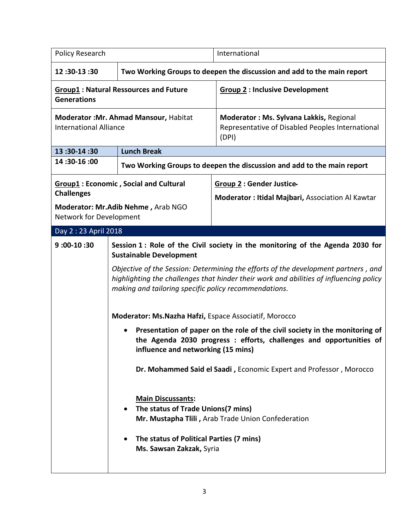| Policy Research                                                                                                                    |                                                                                                                                                                                                                                                                                                                                                                                                                                                                                                                                                                                                                                                                                                                                                                                                                                                                                                                            | International                                                                                        |  |
|------------------------------------------------------------------------------------------------------------------------------------|----------------------------------------------------------------------------------------------------------------------------------------------------------------------------------------------------------------------------------------------------------------------------------------------------------------------------------------------------------------------------------------------------------------------------------------------------------------------------------------------------------------------------------------------------------------------------------------------------------------------------------------------------------------------------------------------------------------------------------------------------------------------------------------------------------------------------------------------------------------------------------------------------------------------------|------------------------------------------------------------------------------------------------------|--|
| 12:30-13:30                                                                                                                        | Two Working Groups to deepen the discussion and add to the main report                                                                                                                                                                                                                                                                                                                                                                                                                                                                                                                                                                                                                                                                                                                                                                                                                                                     |                                                                                                      |  |
| <b>Group1: Natural Ressources and Future</b><br><b>Generations</b>                                                                 |                                                                                                                                                                                                                                                                                                                                                                                                                                                                                                                                                                                                                                                                                                                                                                                                                                                                                                                            | <b>Group 2: Inclusive Development</b>                                                                |  |
| Moderator : Mr. Ahmad Mansour, Habitat<br><b>International Alliance</b>                                                            |                                                                                                                                                                                                                                                                                                                                                                                                                                                                                                                                                                                                                                                                                                                                                                                                                                                                                                                            | Moderator: Ms. Sylvana Lakkis, Regional<br>Representative of Disabled Peoples International<br>(DPI) |  |
| 13:30-14:30                                                                                                                        | <b>Lunch Break</b>                                                                                                                                                                                                                                                                                                                                                                                                                                                                                                                                                                                                                                                                                                                                                                                                                                                                                                         |                                                                                                      |  |
| 14:30-16:00                                                                                                                        |                                                                                                                                                                                                                                                                                                                                                                                                                                                                                                                                                                                                                                                                                                                                                                                                                                                                                                                            | Two Working Groups to deepen the discussion and add to the main report                               |  |
| <b>Group1: Economic, Social and Cultural</b><br><b>Challenges</b><br>Moderator: Mr.Adib Nehme, Arab NGO<br>Network for Development |                                                                                                                                                                                                                                                                                                                                                                                                                                                                                                                                                                                                                                                                                                                                                                                                                                                                                                                            | <b>Group 2: Gender Justice-</b><br>Moderator : Itidal Majbari, Association Al Kawtar                 |  |
| Day 2: 23 April 2018                                                                                                               |                                                                                                                                                                                                                                                                                                                                                                                                                                                                                                                                                                                                                                                                                                                                                                                                                                                                                                                            |                                                                                                      |  |
| $9:00-10:30$                                                                                                                       | Session 1: Role of the Civil society in the monitoring of the Agenda 2030 for<br><b>Sustainable Development</b><br>Objective of the Session: Determining the efforts of the development partners, and<br>highlighting the challenges that hinder their work and abilities of influencing policy<br>making and tailoring specific policy recommendations.<br>Moderator: Ms.Nazha Hafzi, Espace Associatif, Morocco<br>Presentation of paper on the role of the civil society in the monitoring of<br>$\bullet$<br>the Agenda 2030 progress : efforts, challenges and opportunities of<br>influence and networking (15 mins)<br>Dr. Mohammed Said el Saadi, Economic Expert and Professor, Morocco<br><b>Main Discussants:</b><br>The status of Trade Unions(7 mins)<br>$\bullet$<br>Mr. Mustapha Tlili, Arab Trade Union Confederation<br>The status of Political Parties (7 mins)<br>$\bullet$<br>Ms. Sawsan Zakzak, Syria |                                                                                                      |  |